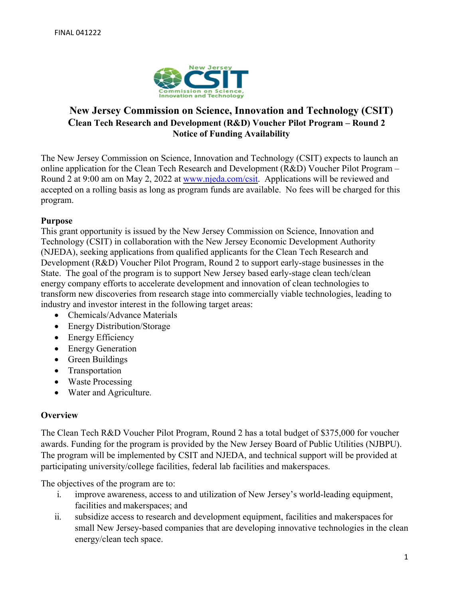

# **New Jersey Commission on Science, Innovation and Technology (CSIT) Clean Tech Research and Development (R&D) Voucher Pilot Program – Round 2 Notice of Funding Availability**

The New Jersey Commission on Science, Innovation and Technology (CSIT) expects to launch an online application for the Clean Tech Research and Development (R&D) Voucher Pilot Program – Round 2 at 9:00 am on May 2, 2022 at [www.njeda.com/csit.](http://www.njeda.com/csit) Applications will be reviewed and accepted on a rolling basis as long as program funds are available. No fees will be charged for this program.

#### **Purpose**

This grant opportunity is issued by the New Jersey Commission on Science, Innovation and Technology (CSIT) in collaboration with the New Jersey Economic Development Authority (NJEDA), seeking applications from qualified applicants for the Clean Tech Research and Development (R&D) Voucher Pilot Program, Round 2 to support early-stage businesses in the State. The goal of the program is to support New Jersey based early-stage clean tech/clean energy company efforts to accelerate development and innovation of clean technologies to transform new discoveries from research stage into commercially viable technologies, leading to industry and investor interest in the following target areas:

- Chemicals/Advance Materials
- Energy Distribution/Storage
- Energy Efficiency
- Energy Generation
- Green Buildings
- Transportation
- Waste Processing
- Water and Agriculture.

#### **Overview**

The Clean Tech R&D Voucher Pilot Program, Round 2 has a total budget of \$375,000 for voucher awards. Funding for the program is provided by the New Jersey Board of Public Utilities (NJBPU). The program will be implemented by CSIT and NJEDA, and technical support will be provided at participating university/college facilities, federal lab facilities and makerspaces.

The objectives of the program are to:

- i. improve awareness, access to and utilization of New Jersey's world-leading equipment, facilities and makerspaces; and
- ii. subsidize access to research and development equipment, facilities and makerspacesfor small New Jersey-based companies that are developing innovative technologies in the clean energy/clean tech space.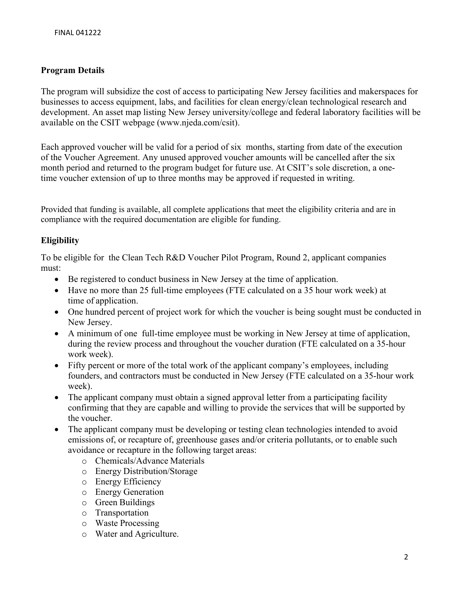# **Program Details**

The program will subsidize the cost of access to participating New Jersey facilities and makerspaces for businesses to access equipment, labs, and facilities for clean energy/clean technological research and development. An asset map listing New Jersey university/college and federal laboratory facilities will be available on the CSIT webpage (www.njeda.com/csit).

Each approved voucher will be valid for a period of six months, starting from date of the execution of the Voucher Agreement. Any unused approved voucher amounts will be cancelled after the six month period and returned to the program budget for future use. At CSIT's sole discretion, a onetime voucher extension of up to three months may be approved if requested in writing.

Provided that funding is available, all complete applications that meet the eligibility criteria and are in compliance with the required documentation are eligible for funding.

# **Eligibility**

To be eligible for the Clean Tech R&D Voucher Pilot Program, Round 2, applicant companies must:

- Be registered to conduct business in New Jersey at the time of application.
- Have no more than 25 full-time employees (FTE calculated on a 35 hour work week) at time of application.
- One hundred percent of project work for which the voucher is being sought must be conducted in New Jersey.
- A minimum of one full-time employee must be working in New Jersey at time of application, during the review process and throughout the voucher duration (FTE calculated on a 35-hour work week).
- Fifty percent or more of the total work of the applicant company's employees, including founders, and contractors must be conducted in New Jersey (FTE calculated on a 35-hour work week).
- The applicant company must obtain a signed approval letter from a participating facility confirming that they are capable and willing to provide the services that will be supported by the voucher.
- The applicant company must be developing or testing clean technologies intended to avoid emissions of, or recapture of, greenhouse gases and/or criteria pollutants, or to enable such avoidance or recapture in the following target areas:
	- o Chemicals/Advance Materials
	- o Energy Distribution/Storage
	- o Energy Efficiency
	- o Energy Generation
	- o Green Buildings
	- o Transportation
	- o Waste Processing
	- o Water and Agriculture.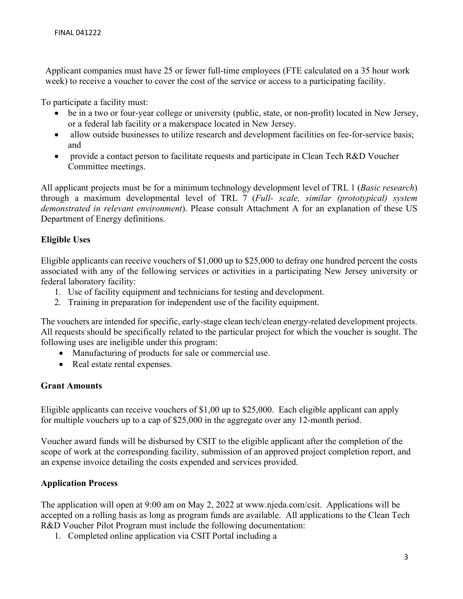Applicant companies must have 25 or fewer full-time employees (FTE calculated on a 35 hour work week) to receive a voucher to cover the cost of the service or access to a participating facility.

To participate a facility must:

- be in a two or four-year college or university (public, state, or non-profit) located in New Jersey, or a federal lab facility or a makerspace located in New Jersey.
- allow outside businesses to utilize research and development facilities on fee-for-service basis; and
- provide a contact person to facilitate requests and participate in Clean Tech R&D Voucher Committee meetings.

All applicant projects must be for a minimum technology development level of TRL 1 (*Basic research*) through a maximum developmental level of TRL 7 (*Full- scale, similar (prototypical) system demonstrated in relevant environment*). Please consult Attachment A for an explanation of these US Department of Energy definitions.

#### **Eligible Uses**

Eligible applicants can receive vouchers of \$1,000 up to \$25,000 to defray one hundred percent the costs associated with any of the following services or activities in a participating New Jersey university or federal laboratory facility:

- 1. Use of facility equipment and technicians for testing and development.
- 2. Training in preparation for independent use of the facility equipment.

The vouchers are intended for specific, early-stage clean tech/clean energy-related development projects. All requests should be specifically related to the particular project for which the voucher is sought. The following uses are ineligible under this program:

- Manufacturing of products for sale or commercial use.
- Real estate rental expenses.

# **Grant Amounts**

Eligible applicants can receive vouchers of \$1,00 up to \$25,000. Each eligible applicant can apply for multiple vouchers up to a cap of \$25,000 in the aggregate over any 12-month period.

Voucher award funds will be disbursed by CSIT to the eligible applicant after the completion of the scope of work at the corresponding facility, submission of an approved project completion report, and an expense invoice detailing the costs expended and services provided.

# **Application Process**

The application will open at 9:00 am on May 2, 2022 at www.njeda.com/csit. Applications will be accepted on a rolling basis as long as program funds are available. All applications to the Clean Tech R&D Voucher Pilot Program must include the following documentation:

1. Completed online application via CSIT Portal including a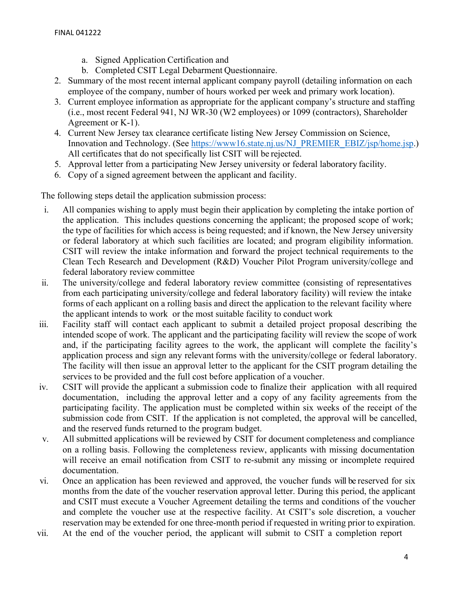- a. Signed Application Certification and
- b. Completed CSIT Legal Debarment Questionnaire.
- 2. Summary of the most recent internal applicant company payroll (detailing information on each employee of the company, number of hours worked per week and primary work location).
- 3. Current employee information as appropriate for the applicant company's structure and staffing (i.e., most recent Federal 941, NJ WR-30 (W2 employees) or 1099 (contractors), Shareholder Agreement or K-1).
- 4. Current New Jersey tax clearance certificate listing New Jersey Commission on Science, Innovation and Technology. (See [https://www16.state.nj.us/NJ\\_PREMIER\\_EBIZ/jsp/home.jsp.](https://www16.state.nj.us/NJ_PREMIER_EBIZ/jsp/home.jsp)) All certificates that do not specifically list CSIT will be rejected.
- 5. Approval letter from a participating New Jersey university or federal laboratory facility.
- 6. Copy of a signed agreement between the applicant and facility.

The following steps detail the application submission process:

- i. All companies wishing to apply must begin their application by completing the intake portion of the application. This includes questions concerning the applicant; the proposed scope of work; the type of facilities for which access is being requested; and if known, the New Jersey university or federal laboratory at which such facilities are located; and program eligibility information. CSIT will review the intake information and forward the project technical requirements to the Clean Tech Research and Development (R&D) Voucher Pilot Program university/college and federal laboratory review committee
- ii. The university/college and federal laboratory review committee (consisting of representatives from each participating university/college and federal laboratory facility) will review the intake forms of each applicant on a rolling basis and direct the application to the relevant facility where the applicant intends to work or the most suitable facility to conduct work
- iii. Facility staff will contact each applicant to submit a detailed project proposal describing the intended scope of work. The applicant and the participating facility will review the scope of work and, if the participating facility agrees to the work, the applicant will complete the facility's application process and sign any relevant forms with the university/college or federal laboratory. The facility will then issue an approval letter to the applicant for the CSIT program detailing the services to be provided and the full cost before application of a voucher.
- iv. CSIT will provide the applicant a submission code to finalize their application with all required documentation, including the approval letter and a copy of any facility agreements from the participating facility. The application must be completed within six weeks of the receipt of the submission code from CSIT. If the application is not completed, the approval will be cancelled, and the reserved funds returned to the program budget.
- v. All submitted applications will be reviewed by CSIT for document completeness and compliance on a rolling basis. Following the completeness review, applicants with missing documentation will receive an email notification from CSIT to re-submit any missing or incomplete required documentation.
- vi. Once an application has been reviewed and approved, the voucher funds will be reserved for six months from the date of the voucher reservation approval letter. During this period, the applicant and CSIT must execute a Voucher Agreement detailing the terms and conditions of the voucher and complete the voucher use at the respective facility. At CSIT's sole discretion, a voucher reservation may be extended for one three-month period if requested in writing prior to expiration.
- vii. At the end of the voucher period, the applicant will submit to CSIT a completion report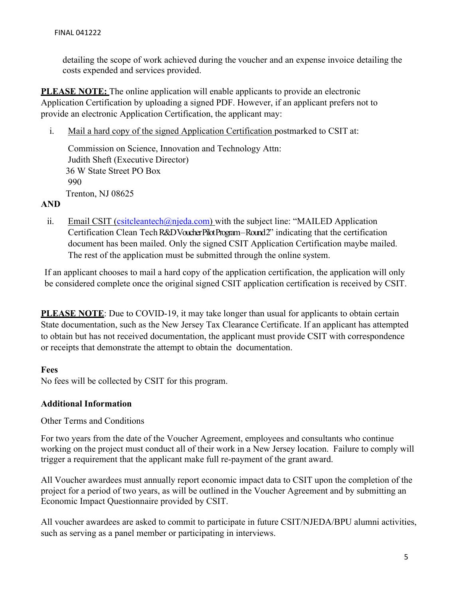detailing the scope of work achieved during the voucher and an expense invoice detailing the costs expended and services provided.

**PLEASE NOTE:** The online application will enable applicants to provide an electronic Application Certification by uploading a signed PDF. However, if an applicant prefers not to provide an electronic Application Certification, the applicant may:

i. Mail a hard copy of the signed Application Certification postmarked to CSIT at:

Commission on Science, Innovation and Technology Attn: Judith Sheft (Executive Director) 36 W State Street PO Box 990 Trenton, NJ 08625

# **AND**

ii. Email CSIT [\(csitcleantech@njeda.com\)](mailto:csitcleantech@njeda.com) with the subject line: "MAILED Application Certification Clean Tech R&D Voucher Pilot Program – Round 2" indicating that the certification document has been mailed. Only the signed CSIT Application Certification maybe mailed. The rest of the application must be submitted through the online system.

If an applicant chooses to mail a hard copy of the application certification, the application will only be considered complete once the original signed CSIT application certification is received by CSIT.

**PLEASE NOTE:** Due to COVID-19, it may take longer than usual for applicants to obtain certain State documentation, such as the New Jersey Tax Clearance Certificate. If an applicant has attempted to obtain but has not received documentation, the applicant must provide CSIT with correspondence or receipts that demonstrate the attempt to obtain the documentation.

# **Fees**

No fees will be collected by CSIT for this program.

#### **Additional Information**

#### Other Terms and Conditions

For two years from the date of the Voucher Agreement, employees and consultants who continue working on the project must conduct all of their work in a New Jersey location. Failure to comply will trigger a requirement that the applicant make full re-payment of the grant award.

All Voucher awardees must annually report economic impact data to CSIT upon the completion of the project for a period of two years, as will be outlined in the Voucher Agreement and by submitting an Economic Impact Questionnaire provided by CSIT.

All voucher awardees are asked to commit to participate in future CSIT/NJEDA/BPU alumni activities, such as serving as a panel member or participating in interviews.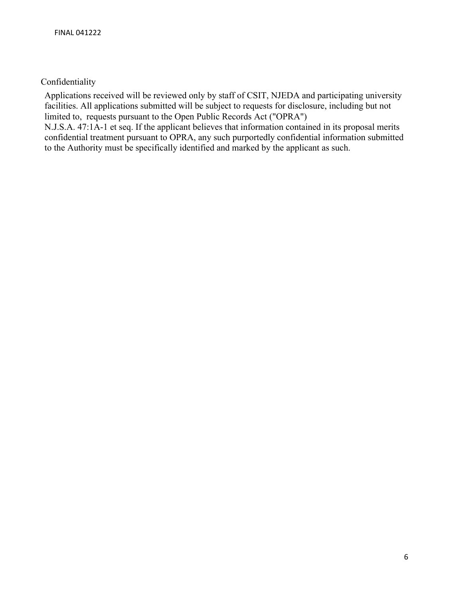Confidentiality

Applications received will be reviewed only by staff of CSIT, NJEDA and participating university facilities. All applications submitted will be subject to requests for disclosure, including but not limited to, requests pursuant to the Open Public Records Act ("OPRA")

N.J.S.A. 47:1A-1 et seq. If the applicant believes that information contained in its proposal merits confidential treatment pursuant to OPRA, any such purportedly confidential information submitted to the Authority must be specifically identified and marked by the applicant as such.